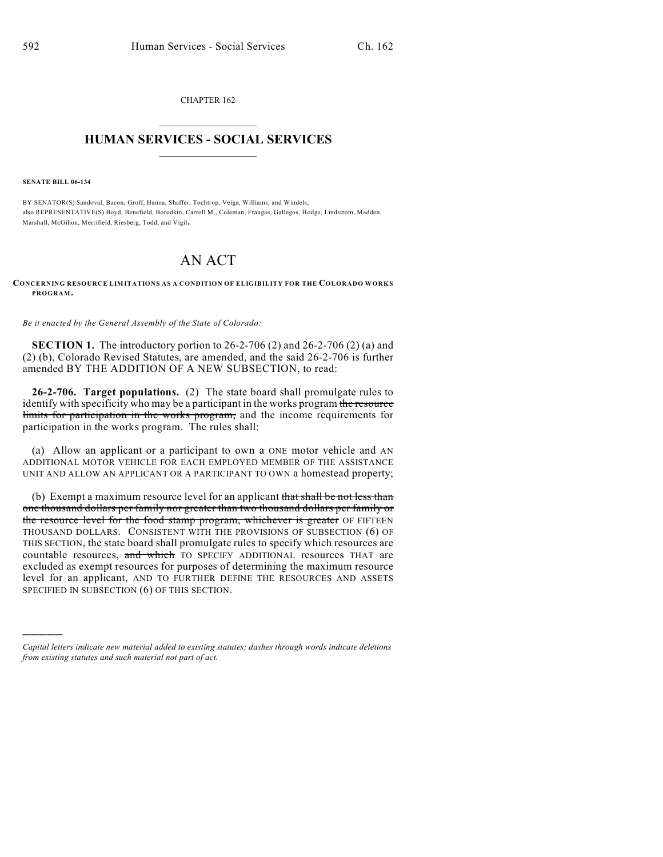CHAPTER 162  $\overline{\phantom{a}}$  . The set of the set of the set of the set of the set of the set of the set of the set of the set of the set of the set of the set of the set of the set of the set of the set of the set of the set of the set o

## **HUMAN SERVICES - SOCIAL SERVICES**  $\frac{1}{2}$  ,  $\frac{1}{2}$  ,  $\frac{1}{2}$  ,  $\frac{1}{2}$  ,  $\frac{1}{2}$  ,  $\frac{1}{2}$  ,  $\frac{1}{2}$

**SENATE BILL 06-134**

)))))

BY SENATOR(S) Sandoval, Bacon, Groff, Hanna, Shaffer, Tochtrop, Veiga, Williams, and Windels; also REPRESENTATIVE(S) Boyd, Benefield, Borodkin, Carroll M., Coleman, Frangas, Gallegos, Hodge, Lindstrom, Madden, Marshall, McGihon, Merrifield, Riesberg, Todd, and Vigil.

## AN ACT

**CONCERNING RESOURCE LIMITATIONS AS A CONDITION OF ELIGIBILITY FOR THE COLORADO WORK S PROGRAM.**

*Be it enacted by the General Assembly of the State of Colorado:*

**SECTION 1.** The introductory portion to 26-2-706 (2) and 26-2-706 (2) (a) and (2) (b), Colorado Revised Statutes, are amended, and the said 26-2-706 is further amended BY THE ADDITION OF A NEW SUBSECTION, to read:

**26-2-706. Target populations.** (2) The state board shall promulgate rules to identify with specificity who may be a participant in the works program the resource limits for participation in the works program, and the income requirements for participation in the works program. The rules shall:

(a) Allow an applicant or a participant to own a ONE motor vehicle and AN ADDITIONAL MOTOR VEHICLE FOR EACH EMPLOYED MEMBER OF THE ASSISTANCE UNIT AND ALLOW AN APPLICANT OR A PARTICIPANT TO OWN a homestead property;

(b) Exempt a maximum resource level for an applicant that shall be not less than one thousand dollars per family nor greater than two thousand dollars per family or the resource level for the food stamp program, whichever is greater OF FIFTEEN THOUSAND DOLLARS. CONSISTENT WITH THE PROVISIONS OF SUBSECTION (6) OF THIS SECTION, the state board shall promulgate rules to specify which resources are countable resources, and which TO SPECIFY ADDITIONAL resources THAT are excluded as exempt resources for purposes of determining the maximum resource level for an applicant, AND TO FURTHER DEFINE THE RESOURCES AND ASSETS SPECIFIED IN SUBSECTION (6) OF THIS SECTION.

*Capital letters indicate new material added to existing statutes; dashes through words indicate deletions from existing statutes and such material not part of act.*